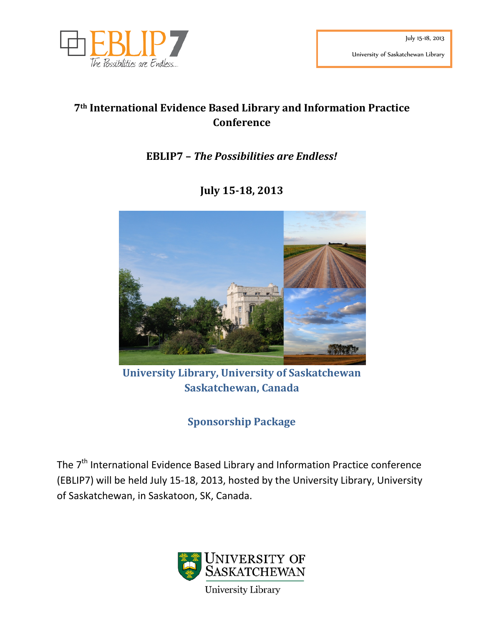

# **7th International Evidence Based Library and Information Practice Conference**

# **EBLIP7 –** *The Possibilities are Endless!*

# **July 15-18, 2013**



**University Library, University of Saskatchewan Saskatchewan, Canada**

**Sponsorship Package**

The 7<sup>th</sup> International Evidence Based Library and Information Practice conference (EBLIP7) will be held July 15-18, 2013, hosted by the University Library, University of Saskatchewan, in Saskatoon, SK, Canada.

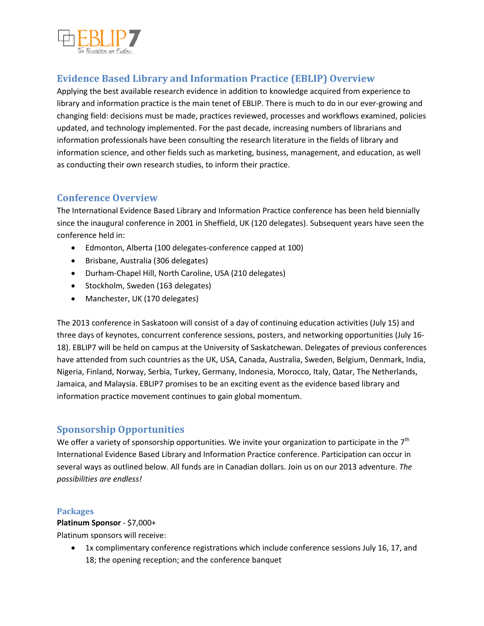

## **Evidence Based Library and Information Practice (EBLIP) Overview**

Applying the best available research evidence in addition to knowledge acquired from experience to library and information practice is the main tenet of EBLIP. There is much to do in our ever-growing and changing field: decisions must be made, practices reviewed, processes and workflows examined, policies updated, and technology implemented. For the past decade, increasing numbers of librarians and information professionals have been consulting the research literature in the fields of library and information science, and other fields such as marketing, business, management, and education, as well as conducting their own research studies, to inform their practice.

## **Conference Overview**

The International Evidence Based Library and Information Practice conference has been held biennially since the inaugural conference in 2001 in Sheffield, UK (120 delegates). Subsequent years have seen the conference held in:

- Edmonton, Alberta (100 delegates-conference capped at 100)
- Brisbane, Australia (306 delegates)
- Durham-Chapel Hill, North Caroline, USA (210 delegates)
- Stockholm, Sweden (163 delegates)
- Manchester, UK (170 delegates)

The 2013 conference in Saskatoon will consist of a day of continuing education activities (July 15) and three days of keynotes, concurrent conference sessions, posters, and networking opportunities (July 16- 18). EBLIP7 will be held on campus at the University of Saskatchewan. Delegates of previous conferences have attended from such countries as the UK, USA, Canada, Australia, Sweden, Belgium, Denmark, India, Nigeria, Finland, Norway, Serbia, Turkey, Germany, Indonesia, Morocco, Italy, Qatar, The Netherlands, Jamaica, and Malaysia. EBLIP7 promises to be an exciting event as the evidence based library and information practice movement continues to gain global momentum.

## **Sponsorship Opportunities**

We offer a variety of sponsorship opportunities. We invite your organization to participate in the  $7<sup>th</sup>$ International Evidence Based Library and Information Practice conference. Participation can occur in several ways as outlined below. All funds are in Canadian dollars. Join us on our 2013 adventure. *The possibilities are endless!*

### **Packages**

**Platinum Sponsor** - \$7,000+

Platinum sponsors will receive:

• 1x complimentary conference registrations which include conference sessions July 16, 17, and 18; the opening reception; and the conference banquet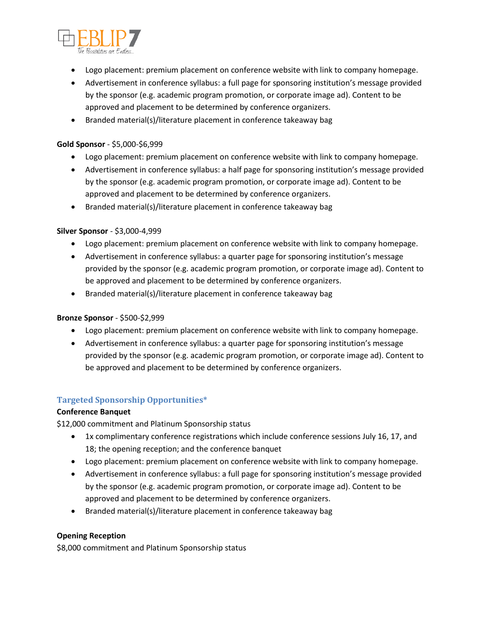

- Logo placement: premium placement on conference website with link to company homepage.
- Advertisement in conference syllabus: a full page for sponsoring institution's message provided by the sponsor (e.g. academic program promotion, or corporate image ad). Content to be approved and placement to be determined by conference organizers.
- Branded material(s)/literature placement in conference takeaway bag

#### **Gold Sponsor** - \$5,000-\$6,999

- Logo placement: premium placement on conference website with link to company homepage.
- Advertisement in conference syllabus: a half page for sponsoring institution's message provided by the sponsor (e.g. academic program promotion, or corporate image ad). Content to be approved and placement to be determined by conference organizers.
- Branded material(s)/literature placement in conference takeaway bag

#### **Silver Sponsor** - \$3,000-4,999

- Logo placement: premium placement on conference website with link to company homepage.
- Advertisement in conference syllabus: a quarter page for sponsoring institution's message provided by the sponsor (e.g. academic program promotion, or corporate image ad). Content to be approved and placement to be determined by conference organizers.
- Branded material(s)/literature placement in conference takeaway bag

#### **Bronze Sponsor** - \$500-\$2,999

- Logo placement: premium placement on conference website with link to company homepage.
- Advertisement in conference syllabus: a quarter page for sponsoring institution's message provided by the sponsor (e.g. academic program promotion, or corporate image ad). Content to be approved and placement to be determined by conference organizers.

#### **Targeted Sponsorship Opportunities\***

#### **Conference Banquet**

\$12,000 commitment and Platinum Sponsorship status

- 1x complimentary conference registrations which include conference sessions July 16, 17, and 18; the opening reception; and the conference banquet
- Logo placement: premium placement on conference website with link to company homepage.
- Advertisement in conference syllabus: a full page for sponsoring institution's message provided by the sponsor (e.g. academic program promotion, or corporate image ad). Content to be approved and placement to be determined by conference organizers.
- Branded material(s)/literature placement in conference takeaway bag

#### **Opening Reception**

\$8,000 commitment and Platinum Sponsorship status